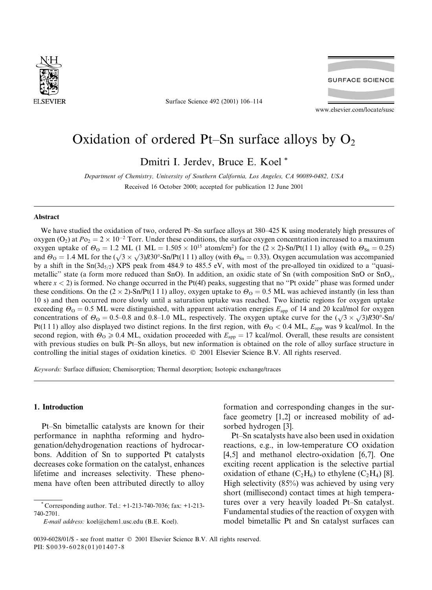

Surface Science 492 (2001) 106-114



www.elsevier.com/locate/susc

# Oxidation of ordered Pt-Sn surface alloys by  $O_2$

Dmitri I. Jerdev, Bruce E. Koel\*

Department of Chemistry, University of Southern California, Los Angeles, CA 90089-0482, USA Received 16 October 2000; accepted for publication 12 June 2001

## **Abstract**

We have studied the oxidation of two, ordered Pt-Sn surface alloys at 380-425 K using moderately high pressures of oxygen (O<sub>2</sub>) at  $P_0 = 2 \times 10^{-2}$  Torr. Under these conditions, the surface oxygen concentration increased to a maximum oxygen uptake of  $\Theta_0 = 1.2$  ML (1 ML =  $1.505 \times 10^{15}$  atom/cm<sup>2</sup>) for the  $(2 \times 2)$ -Sn/Pt(111) alloy (with  $\Theta_{\text{Sn}} = 0.25$ ) and  $\Theta_{\rm O} = 1.4$  ML for the  $(\sqrt{3} \times \sqrt{3})R30^{\circ}$ -Sn/Pt(111) alloy (with  $\Theta_{\rm Sn} = 0.33$ ). Oxygen accumulation was accompanied by a shift in the  $\text{Sn}(3d_{5/2})$  XPS peak from 484.9 to 485.5 eV, with most of the pre-alloyed tin oxidized to a "quasimetallic" state (a form more reduced than SnO). In addition, an oxidic state of Sn (with composition SnO or SnO<sub>x</sub>, where  $x < 2$ ) is formed. No change occurred in the Pt(4f) peaks, suggesting that no "Pt oxide" phase was formed under these conditions. On the  $(2 \times 2)$ -Sn/Pt(111) alloy, oxygen uptake to  $\Theta_0 = 0.5$  ML was achieved instantly (in less than 10 s) and then occurred more slowly until a saturation uptake was reached. Two kinetic regions for oxygen uptake exceeding  $\Theta_0 = 0.5$  ML were distinguished, with apparent activation energies  $E_{app}$  of 14 and 20 kcal/mol for oxygen concentrations of  $\Theta_0 = 0.5{\text -}0.8$  and 0.8–1.0 ML, respectively. The oxygen uptake curve for the  $(\sqrt{3} \times \sqrt{3})R30^{\circ}$ -Sn/ Pt(1 1 1) alloy also displayed two distinct regions. In the first region, with  $\Theta_0 < 0.4$  ML,  $E_{app}$  was 9 kcal/mol. In the second region, with  $\Theta_{\text{Q}} \geq 0.4$  ML, oxidation proceeded with  $E_{\text{app}} = 17$  kcal/mol. Overall, these results are consistent with previous studies on bulk Pt-Sn alloys, but new information is obtained on the role of alloy surface structure in controlling the initial stages of oxidation kinetics. © 2001 Elsevier Science B.V. All rights reserved.

Keywords: Surface diffusion; Chemisorption; Thermal desorption; Isotopic exchange/traces

# 1. Introduction

Pt-Sn bimetallic catalysts are known for their performance in naphtha reforming and hydrogenation/dehydrogenation reactions of hydrocarbons. Addition of Sn to supported Pt catalysts decreases coke formation on the catalyst, enhances lifetime and increases selectivity. These phenomena have often been attributed directly to alloy

formation and corresponding changes in the surface geometry [1,2] or increased mobility of adsorbed hydrogen [3].

Pt-Sn scatalysts have also been used in oxidation reactions, e.g., in low-temperature CO oxidation [4,5] and methanol electro-oxidation [6,7]. One exciting recent application is the selective partial oxidation of ethane  $(C_2H_6)$  to ethylene  $(C_2H_4)$  [8]. High selectivity  $(85\%)$  was achieved by using very short (millisecond) contact times at high temperatures over a very heavily loaded Pt-Sn catalyst. Fundamental studies of the reaction of oxygen with model bimetallic Pt and Sn catalyst surfaces can

Corresponding author. Tel.: +1-213-740-7036; fax: +1-213-740-2701

E-mail address: koel@chem1.usc.edu (B.E. Koel).

<sup>0039-6028/01/\$ -</sup> see front matter © 2001 Elsevier Science B.V. All rights reserved. PII: S0039-6028(01)01407-8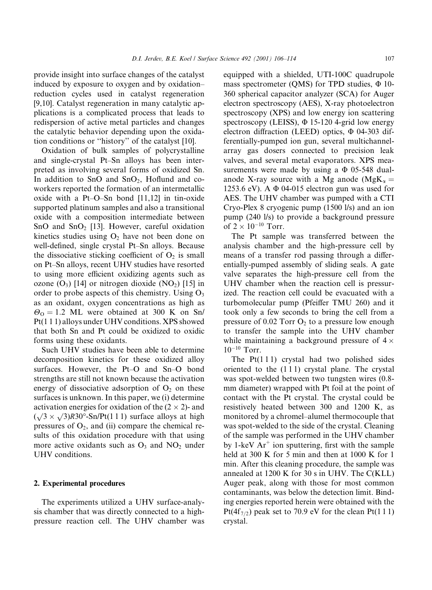provide insight into surface changes of the catalyst induced by exposure to oxygen and by oxidationreduction cycles used in catalyst regeneration [9,10]. Catalyst regeneration in many catalytic applications is a complicated process that leads to redispersion of active metal particles and changes the catalytic behavior depending upon the oxidation conditions or "history" of the catalyst [10].

Oxidation of bulk samples of polycrystalline and single-crystal Pt-Sn alloys has been interpreted as involving several forms of oxidized Sn. In addition to SnO and SnO<sub>2</sub>, Hoflund and coworkers reported the formation of an intermetallic oxide with a Pt-O-Sn bond  $[11,12]$  in tin-oxide supported platinum samples and also a transitional oxide with a composition intermediate between SnO and SnO<sub>2</sub> [13]. However, careful oxidation kinetics studies using  $O_2$  have not been done on well-defined, single crystal Pt-Sn alloys. Because the dissociative sticking coefficient of  $O_2$  is small on Pt–Sn alloys, recent UHV studies have resorted to using more efficient oxidizing agents such as ozone  $(O_3)$  [14] or nitrogen dioxide  $(NO_2)$  [15] in order to probe aspects of this chemistry. Using  $O_3$ as an oxidant, oxygen concentrations as high as  $\Theta_0 = 1.2$  ML were obtained at 300 K on Sn/ Pt(1 1 1) alloys under UHV conditions. XPS showed that both Sn and Pt could be oxidized to oxidic forms using these oxidants.

Such UHV studies have been able to determine decomposition kinetics for these oxidized alloy surfaces. However, the Pt-O and Sn-O bond strengths are still not known because the activation energy of dissociative adsorption of  $O<sub>2</sub>$  on these surfaces is unknown. In this paper, we (i) determine activation energies for oxidation of the  $(2 \times 2)$ - and  $(\sqrt{3} \times \sqrt{3})R30^{\circ}$ -Sn/Pt(111) surface alloys at high pressures of  $O_2$ , and (ii) compare the chemical results of this oxidation procedure with that using more active oxidants such as  $O_3$  and  $NO_2$  under UHV conditions.

## 2. Experimental procedures

The experiments utilized a UHV surface-analysis chamber that was directly connected to a highpressure reaction cell. The UHV chamber was equipped with a shielded, UTI-100C quadrupole mass spectrometer (QMS) for TPD studies,  $\Phi$  10-360 spherical capacitor analyzer (SCA) for Auger electron spectroscopy (AES), X-ray photoelectron spectroscopy (XPS) and low energy ion scattering spectroscopy (LEISS),  $\Phi$  15-120 4-grid low energy electron diffraction (LEED) optics,  $\Phi$  04-303 differentially-pumped ion gun, several multichannelarray gas dosers connected to precision leak valves, and several metal evaporators. XPS measurements were made by using a  $\Phi$  05-548 dualanode X-ray source with a Mg anode (MgK<sub> $\alpha$ </sub> = 1253.6 eV). A  $\Phi$  04-015 electron gun was used for AES. The UHV chamber was pumped with a CTI Cryo-Plex 8 cryogenic pump (1500 l/s) and an ion pump (240 l/s) to provide a background pressure of  $2 \times 10^{-10}$  Torr.

The Pt sample was transferred between the analysis chamber and the high-pressure cell by means of a transfer rod passing through a differentially-pumped assembly of sliding seals. A gate valve separates the high-pressure cell from the UHV chamber when the reaction cell is pressurized. The reaction cell could be evacuated with a turbomolecular pump (Pfeiffer TMU 260) and it took only a few seconds to bring the cell from a pressure of 0.02 Torr  $O_2$  to a pressure low enough to transfer the sample into the UHV chamber while maintaining a background pressure of  $4 \times$  $10^{-10}$  Torr.

The  $Pt(111)$  crystal had two polished sides oriented to the (111) crystal plane. The crystal was spot-welded between two tungsten wires (0.8mm diameter) wrapped with Pt foil at the point of contact with the Pt crystal. The crystal could be resistively heated between 300 and 1200 K, as monitored by a chromel-alumel thermocouple that was spot-welded to the side of the crystal. Cleaning of the sample was performed in the UHV chamber by 1-keV  $Ar^+$  ion sputtering, first with the sample held at 300 K for 5 min and then at 1000 K for 1 min. After this cleaning procedure, the sample was annealed at 1200 K for 30 s in UHV. The  $C(KLL)$ Auger peak, along with those for most common contaminants, was below the detection limit. Binding energies reported herein were obtained with the  $Pt(4f_{7/2})$  peak set to 70.9 eV for the clean Pt(111) crystal.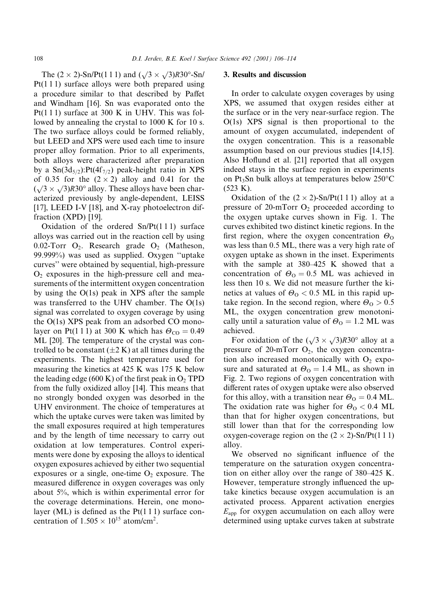The  $(2 \times 2)$ -Sn/Pt(111) and  $(\sqrt{3} \times \sqrt{3})$ R30°-Sn/  $Pt(111)$  surface alloys were both prepared using a procedure similar to that described by Paffet and Windham [16]. Sn was evaporated onto the  $Pt(111)$  surface at 300 K in UHV. This was followed by annealing the crystal to 1000 K for 10 s. The two surface alloys could be formed reliably, but LEED and XPS were used each time to insure proper alloy formation. Prior to all experiments, both alloys were characterized after preparation by a  $Sn(3d_{5/2})$ :  $Pt(4f_{7/2})$  peak-height ratio in XPS of 0.35 for the  $(2 \times 2)$  alloy and 0.41 for the  $(\sqrt{3} \times \sqrt{3})$ R30° alloy. These alloys have been characterized previously by angle-dependent, LEISS [17], LEED I-V [18], and X-ray photoelectron diffraction  $(XPD)$  [19].

Oxidation of the ordered  $Sn/Pt(111)$  surface alloys was carried out in the reaction cell by using  $0.02$ -Torr O<sub>2</sub>. Research grade O<sub>2</sub> (Matheson, 99.999%) was used as supplied. Oxygen "uptake curves" were obtained by sequential, high-pressure  $O<sub>2</sub>$  exposures in the high-pressure cell and measurements of the intermittent oxygen concentration by using the O(1s) peak in XPS after the sample was transferred to the UHV chamber. The  $O(1s)$ signal was correlated to oxygen coverage by using the  $O(1s)$  XPS peak from an adsorbed CO monolayer on Pt(111) at 300 K which has  $\Theta_{\text{CO}} = 0.49$ ML [20]. The temperature of the crystal was controlled to be constant  $(\pm 2 \text{ K})$  at all times during the experiments. The highest temperature used for measuring the kinetics at 425 K was 175 K below the leading edge (600 K) of the first peak in  $O_2$  TPD from the fully oxidized alloy [14]. This means that no strongly bonded oxygen was desorbed in the UHV environment. The choice of temperatures at which the uptake curves were taken was limited by the small exposures required at high temperatures and by the length of time necessary to carry out oxidation at low temperatures. Control experiments were done by exposing the alloys to identical oxygen exposures achieved by either two sequential exposures or a single, one-time  $O_2$  exposure. The measured difference in oxygen coverages was only about  $5\%$ , which is within experimental error for the coverage determinations. Herein, one monolayer (ML) is defined as the  $Pt(111)$  surface concentration of  $1.505 \times 10^{15}$  atom/cm<sup>2</sup>.

## 3. Results and discussion

In order to calculate oxygen coverages by using XPS, we assumed that oxygen resides either at the surface or in the very near-surface region. The  $O(1s)$  XPS signal is then proportional to the amount of oxygen accumulated, independent of the oxygen concentration. This is a reasonable assumption based on our previous studies [14,15]. Also Hoflund et al. [21] reported that all oxygen indeed stays in the surface region in experiments on Pt<sub>3</sub>Sn bulk alloys at temperatures below 250°C  $(523 \text{ K}).$ 

Oxidation of the  $(2 \times 2)$ -Sn/Pt(111) alloy at a pressure of 20-mTorr  $O_2$  proceeded according to the oxygen uptake curves shown in Fig. 1. The curves exhibited two distinct kinetic regions. In the first region, where the oxygen concentration  $\Theta_0$ was less than 0.5 ML, there was a very high rate of oxygen uptake as shown in the inset. Experiments with the sample at 380–425 K showed that a concentration of  $\Theta_0 = 0.5$  ML was achieved in less then 10 s. We did not measure further the kinetics at values of  $\theta_{\rm O}$  < 0.5 ML in this rapid uptake region. In the second region, where  $\theta_{0} > 0.5$ ML, the oxygen concentration grew monotonically until a saturation value of  $\theta_0 = 1.2$  ML was achieved.

For oxidation of the  $(\sqrt{3} \times \sqrt{3})$ R30° alloy at a pressure of 20-mTorr  $O_2$ , the oxygen concentration also increased monotonically with  $O_2$  exposure and saturated at  $\Theta_0 = 1.4$  ML, as shown in Fig. 2. Two regions of oxygen concentration with different rates of oxygen uptake were also observed for this alloy, with a transition near  $\Theta_0 = 0.4$  ML. The oxidation rate was higher for  $\theta_{\rm O}$  < 0.4 ML than that for higher oxygen concentrations, but still lower than that for the corresponding low oxygen-coverage region on the  $(2 \times 2)$ -Sn/Pt(111) alloy.

We observed no significant influence of the temperature on the saturation oxygen concentration on either alloy over the range of 380–425 K. However, temperature strongly influenced the uptake kinetics because oxygen accumulation is an activated process. Apparent activation energies  $E_{\text{app}}$  for oxygen accumulation on each alloy were determined using uptake curves taken at substrate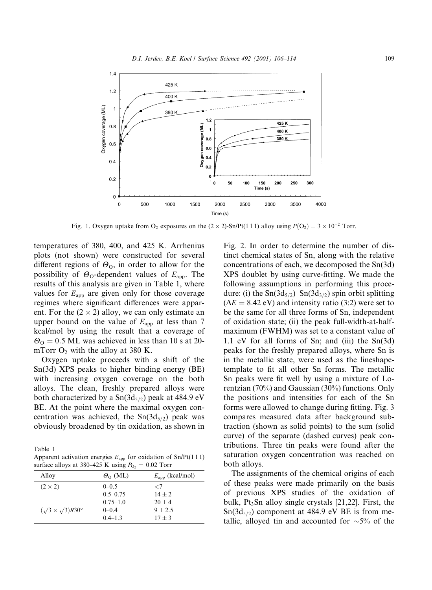

Fig. 1. Oxygen uptake from O<sub>2</sub> exposures on the  $(2 \times 2)$ -Sn/Pt(111) alloy using  $P(O_2) = 3 \times 10^{-2}$  Torr.

temperatures of 380, 400, and 425 K. Arrhenius plots (not shown) were constructed for several different regions of  $\Theta_0$ , in order to allow for the possibility of  $\Theta_0$ -dependent values of  $E_{\text{app}}$ . The results of this analysis are given in Table 1, where values for  $E_{\text{app}}$  are given only for those coverage regimes where significant differences were apparent. For the  $(2 \times 2)$  alloy, we can only estimate an upper bound on the value of  $E_{app}$  at less than 7 kcal/mol by using the result that a coverage of  $\Theta$ <sub>O</sub> = 0.5 ML was achieved in less than 10 s at 20mTorr  $O_2$  with the alloy at 380 K.

Oxygen uptake proceeds with a shift of the  $Sn(3d)$  XPS peaks to higher binding energy (BE) with increasing oxygen coverage on the both alloys. The clean, freshly prepared alloys were both characterized by a  $Sn(3d_{5/2})$  peak at 484.9 eV BE. At the point where the maximal oxygen concentration was achieved, the  $Sn(3d_{5/2})$  peak was obviously broadened by tin oxidation, as shown in

Table 1 Apparent activation energies  $E_{app}$  for oxidation of Sn/Pt(111) face allows at  $380-425$  K usi  $\overline{a}$  $0.02 \text{ T}$ 

| surface alloys at 360–423 K using $F_0 = 0.02$ Ton |                 |                          |
|----------------------------------------------------|-----------------|--------------------------|
| Alloy                                              | $\Theta_0$ (ML) | $E_{\rm apo}$ (kcal/mol) |
| $(2 \times 2)$                                     | $0 - 0.5$       | -7                       |
|                                                    | $0.5 - 0.75$    | $14 + 2$                 |
|                                                    | $0.75 - 1.0$    | $20 + 4$                 |
| $(\sqrt{3} \times \sqrt{3})R30^\circ$              | $0 - 0.4$       | $9 + 2.5$                |
|                                                    | $0.4 - 1.3$     | $17 + 3$                 |

Fig. 2. In order to determine the number of distinct chemical states of Sn, along with the relative concentrations of each, we decomposed the Sn(3d) XPS doublet by using curve-fitting. We made the following assumptions in performing this procedure: (i) the  $\text{Sn}(3d_{5/2})$ - $\text{Sn}(3d_{3/2})$  spin orbit splitting  $(\Delta E = 8.42$  eV) and intensity ratio (3:2) were set to be the same for all three forms of Sn, independent of oxidation state; (ii) the peak full-width-at-halfmaximum (FWHM) was set to a constant value of 1.1 eV for all forms of Sn; and (iii) the  $Sn(3d)$ peaks for the freshly prepared alloys, where Sn is in the metallic state, were used as the lineshapetemplate to fit all other Sn forms. The metallic Sn peaks were fit well by using a mixture of Lorentzian (70%) and Gaussian (30%) functions. Only the positions and intensities for each of the Sn forms were allowed to change during fitting. Fig. 3 compares measured data after background subtraction (shown as solid points) to the sum (solid curve) of the separate (dashed curves) peak contributions. Three tin peaks were found after the saturation oxygen concentration was reached on both alloys.

The assignments of the chemical origins of each of these peaks were made primarily on the basis of previous XPS studies of the oxidation of bulk,  $Pt_3Sn$  alloy single crystals [21,22]. First, the  $Sn(3d_{5/2})$  component at 484.9 eV BE is from metallic, alloyed tin and accounted for  $\sim 5\%$  of the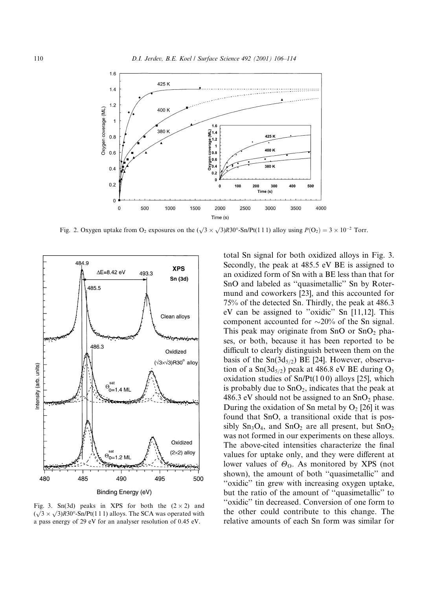

Fig. 2. Oxygen uptake from O<sub>2</sub> exposures on the  $(\sqrt{3} \times \sqrt{3})R30^\circ$ -Sn/Pt(111) alloy using  $P(O_2) = 3 \times 10^{-2}$  Torr.



Fig. 3. Sn(3d) peaks in XPS for both the  $(2 \times 2)$  and  $(\sqrt{3} \times \sqrt{3})R30^{\circ}$ -Sn/Pt(111) alloys. The SCA was operated with a pass energy of 29 eV for an analyser resolution of 0.45 eV.

total Sn signal for both oxidized alloys in Fig. 3. Secondly, the peak at 485.5 eV BE is assigned to an oxidized form of Sn with a BE less than that for SnO and labeled as "quasimetallic" Sn by Rotermund and coworkers [23], and this accounted for 75% of the detected Sn. Thirdly, the peak at 486.3 eV can be assigned to "oxidic" Sn [11,12]. This component accounted for  $\sim$ 20% of the Sn signal. This peak may originate from SnO or  $SnO<sub>2</sub>$  phases, or both, because it has been reported to be difficult to clearly distinguish between them on the basis of the  $Sn(3d_{5/2})$  BE [24]. However, observation of a  $Sn(3d_{5/2})$  peak at 486.8 eV BE during  $O_3$ oxidation studies of  $Sn/Pt(100)$  alloys [25], which is probably due to  $SnO<sub>2</sub>$ , indicates that the peak at 486.3 eV should not be assigned to an  $SnO<sub>2</sub>$  phase. During the oxidation of Sn metal by  $O_2$  [26] it was found that SnO, a transitional oxide that is possibly  $Sn_3O_4$ , and  $SnO_2$  are all present, but  $SnO_2$ was not formed in our experiments on these alloys. The above-cited intensities characterize the final values for uptake only, and they were different at lower values of  $\Theta_0$ . As monitored by XPS (not shown), the amount of both "quasimetallic" and "oxidic" tin grew with increasing oxygen uptake, but the ratio of the amount of "quasimetallic" to "oxidic" tin decreased. Conversion of one form to the other could contribute to this change. The relative amounts of each Sn form was similar for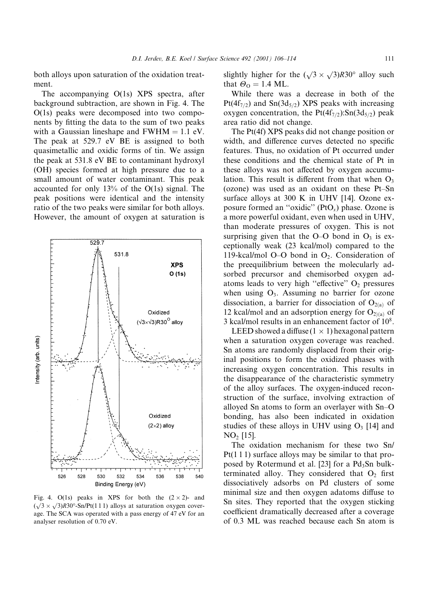both alloys upon saturation of the oxidation treatment.

The accompanying  $O(1s)$  XPS spectra, after background subtraction, are shown in Fig. 4. The O(1s) peaks were decomposed into two components by fitting the data to the sum of two peaks with a Gaussian lineshape and  $FWHM = 1.1$  eV. The peak at 529.7 eV BE is assigned to both quasimetallic and oxidic forms of tin. We assign the peak at 531.8 eV BE to contaminant hydroxyl (OH) species formed at high pressure due to a small amount of water contaminant. This peak accounted for only 13% of the  $O(1s)$  signal. The peak positions were identical and the intensity ratio of the two peaks were similar for both alloys. However, the amount of oxygen at saturation is



Fig. 4. O(1s) peaks in XPS for both the  $(2 \times 2)$ - and  $(\sqrt{3} \times \sqrt{3})$ R30°-Sn/Pt(111) alloys at saturation oxygen coverage. The SCA was operated with a pass energy of 47 eV for an analyser resolution of 0.70 eV.

slightly higher for the  $(\sqrt{3} \times \sqrt{3})$ R30° alloy such that  $\Theta_0 = 1.4$  ML.

While there was a decrease in both of the  $Pt(4f_{7/2})$  and  $Sn(3d_{5/2})$  XPS peaks with increasing oxygen concentration, the  $Pt(4f_{7/2})$ :Sn(3d<sub>5/2</sub>) peak area ratio did not change.

The Pt(4f) XPS peaks did not change position or width, and difference curves detected no specific features. Thus, no oxidation of Pt occurred under these conditions and the chemical state of Pt in these alloys was not affected by oxygen accumulation. This result is different from that when  $O_3$ (ozone) was used as an oxidant on these Pt-Sn surface alloys at 300 K in UHV [14]. Ozone exposure formed an "oxidic" ( $PtO_x$ ) phase. Ozone is a more powerful oxidant, even when used in UHV, than moderate pressures of oxygen. This is not surprising given that the O–O bond in  $O_3$  is exceptionally weak (23 kcal/mol) compared to the 119-kcal/mol O–O bond in  $O_2$ . Consideration of the preequilibrium between the molecularly adsorbed precursor and chemisorbed oxygen adatoms leads to very high "effective"  $O_2$  pressures when using  $O_3$ . Assuming no barrier for ozone dissociation, a barrier for dissociation of  $O_{2(a)}$  of 12 kcal/mol and an adsorption energy for  $O_{2}(a)$  of 3 kcal/mol results in an enhancement factor of  $10^8$ .

LEED showed a diffuse  $(1 \times 1)$  hexagonal pattern when a saturation oxygen coverage was reached. Sn atoms are randomly displaced from their original positions to form the oxidized phases with increasing oxygen concentration. This results in the disappearance of the characteristic symmetry of the alloy surfaces. The oxygen-induced reconstruction of the surface, involving extraction of alloyed Sn atoms to form an overlayer with Sn-O bonding, has also been indicated in oxidation studies of these alloys in UHV using  $O_3$  [14] and  $NO<sub>2</sub>$  [15].

The oxidation mechanism for these two Sn/  $Pt(111)$  surface alloys may be similar to that proposed by Rotermund et al. [23] for a Pd<sub>3</sub>Sn bulkterminated alloy. They considered that  $O_2$  first dissociatively adsorbs on Pd clusters of some minimal size and then oxygen adatoms diffuse to Sn sites. They reported that the oxygen sticking coefficient dramatically decreased after a coverage of 0.3 ML was reached because each Sn atom is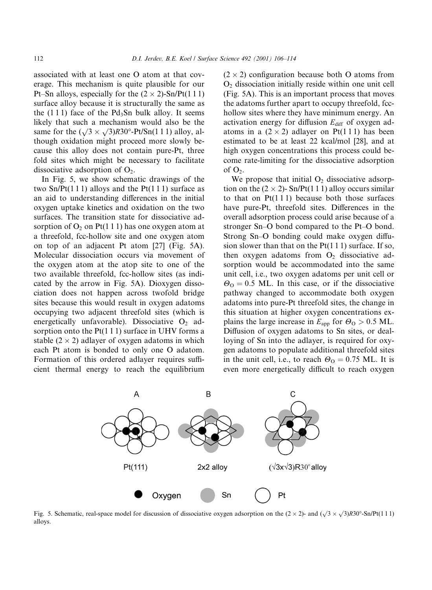associated with at least one O atom at that coverage. This mechanism is quite plausible for our Pt-Sn alloys, especially for the  $(2 \times 2)$ -Sn/Pt(111) surface alloy because it is structurally the same as the  $(1\ 1\ 1)$  face of the Pd<sub>3</sub>Sn bulk alloy. It seems likely that such a mechanism would also be the same for the  $(\sqrt{3} \times \sqrt{3})R30^\circ$ -Pt/Sn(111) alloy, although oxidation might proceed more slowly because this alloy does not contain pure-Pt, three fold sites which might be necessary to facilitate dissociative adsorption of  $O_2$ .

In Fig. 5, we show schematic drawings of the two  $Sn/Pt(111)$  alloys and the  $Pt(111)$  surface as an aid to understanding differences in the initial oxygen uptake kinetics and oxidation on the two surfaces. The transition state for dissociative adsorption of  $O_2$  on Pt(111) has one oxygen atom at a threefold, fcc-hollow site and one oxygen atom on top of an adjacent Pt atom [27] (Fig. 5A). Molecular dissociation occurs via movement of the oxygen atom at the atop site to one of the two available threefold, fcc-hollow sites (as indicated by the arrow in Fig. 5A). Dioxygen dissociation does not happen across twofold bridge sites because this would result in oxygen adatoms occupying two adjacent threefold sites (which is energetically unfavorable). Dissociative  $O_2$  adsorption onto the  $Pt(111)$  surface in UHV forms a stable  $(2 \times 2)$  adlayer of oxygen adatoms in which each Pt atom is bonded to only one O adatom. Formation of this ordered adlayer requires sufficient thermal energy to reach the equilibrium

 $(2 \times 2)$  configuration because both O atoms from  $O<sub>2</sub>$  dissociation initially reside within one unit cell (Fig. 5A). This is an important process that moves the adatoms further apart to occupy threefold, fcchollow sites where they have minimum energy. An activation energy for diffusion  $E_{\text{diff}}$  of oxygen adatoms in a  $(2 \times 2)$  adlayer on Pt(111) has been estimated to be at least 22 kcal/mol [28], and at high oxygen concentrations this process could become rate-limiting for the dissociative adsorption of  $O_2$ .

We propose that initial  $O_2$  dissociative adsorption on the  $(2 \times 2)$ - Sn/Pt(1 1 1) alloy occurs similar to that on  $Pt(111)$  because both those surfaces have pure-Pt, threefold sites. Differences in the overall adsorption process could arise because of a stronger Sn-O bond compared to the Pt-O bond. Strong Sn-O bonding could make oxygen diffusion slower than that on the  $Pt(111)$  surface. If so, then oxygen adatoms from  $O_2$  dissociative adsorption would be accommodated into the same unit cell, i.e., two oxygen adatoms per unit cell or  $\Theta_0 = 0.5$  ML. In this case, or if the dissociative pathway changed to accommodate both oxygen adatoms into pure-Pt threefold sites, the change in this situation at higher oxygen concentrations explains the large increase in  $E_{app}$  for  $\Theta_{\rm O} > 0.5$  ML. Diffusion of oxygen adatoms to Sn sites, or dealloying of Sn into the adlayer, is required for oxygen adatoms to populate additional threefold sites in the unit cell, i.e., to reach  $\Theta_0 = 0.75$  ML. It is even more energetically difficult to reach oxygen



Fig. 5. Schematic, real-space model for discussion of dissociative oxygen adsorption on the  $(2 \times 2)$ - and  $(\sqrt{3} \times \sqrt{3})R30^\circ$ -Sn/Pt(111) alloys.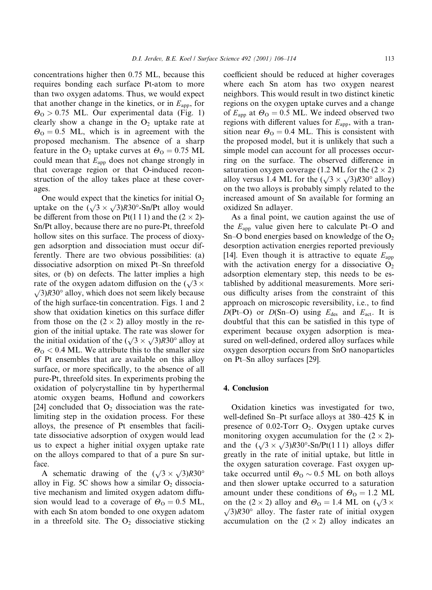concentrations higher then 0.75 ML, because this requires bonding each surface Pt-atom to more than two oxygen adatoms. Thus, we would expect that another change in the kinetics, or in  $E_{\text{app}}$ , for  $\Theta$ <sub>O</sub> > 0.75 ML. Our experimental data (Fig. 1) clearly show a change in the  $O_2$  uptake rate at  $\Theta_0 = 0.5$  ML, which is in agreement with the proposed mechanism. The absence of a sharp feature in the O<sub>2</sub> uptake curves at  $\Theta_0 = 0.75$  ML could mean that  $E_{app}$  does not change strongly in that coverage region or that O-induced reconstruction of the alloy takes place at these coverages.

One would expect that the kinetics for initial  $O_2$ uptake on the  $(\sqrt{3} \times \sqrt{3})R30^\circ$ -Sn/Pt alloy would be different from those on Pt(1 1 1) and the  $(2 \times 2)$ -Sn/Pt alloy, because there are no pure-Pt, threefold hollow sites on this surface. The process of dioxygen adsorption and dissociation must occur differently. There are two obvious possibilities: (a) dissociative adsorption on mixed Pt-Sn threefold sites, or (b) on defects. The latter implies a high rate of the oxygen adatom diffusion on the  $(\sqrt{3} \times$  $\sqrt{3}$  R30° alloy, which does not seem likely because of the high surface-tin concentration. Figs. 1 and 2 show that oxidation kinetics on this surface differ from those on the  $(2 \times 2)$  alloy mostly in the region of the initial uptake. The rate was slower for the initial oxidation of the  $(\sqrt{3} \times \sqrt{3})R30^\circ$  alloy at  $\theta_{\rm O}$  < 0.4 ML. We attribute this to the smaller size of Pt ensembles that are available on this alloy surface, or more specifically, to the absence of all pure-Pt, threefold sites. In experiments probing the oxidation of polycrystalline tin by hyperthermal atomic oxygen beams, Hoflund and coworkers [24] concluded that  $O_2$  dissociation was the ratelimiting step in the oxidation process. For these alloys, the presence of Pt ensembles that facilitate dissociative adsorption of oxygen would lead us to expect a higher initial oxygen uptake rate on the alloys compared to that of a pure Sn surface.

A schematic drawing of the  $(\sqrt{3} \times \sqrt{3})R30^{\circ}$ alloy in Fig. 5C shows how a similar  $O_2$  dissociative mechanism and limited oxygen adatom diffusion would lead to a coverage of  $\Theta_0 = 0.5$  ML, with each Sn atom bonded to one oxygen adatom in a threefold site. The  $O_2$  dissociative sticking coefficient should be reduced at higher coverages where each Sn atom has two oxygen nearest neighbors. This would result in two distinct kinetic regions on the oxygen uptake curves and a change of  $E_{\text{app}}$  at  $\Theta_{\text{O}} = 0.5$  ML. We indeed observed two regions with different values for  $E_{\text{app}}$ , with a transition near  $\Theta_0 = 0.4$  ML. This is consistent with the proposed model, but it is unlikely that such a simple model can account for all processes occurring on the surface. The observed difference in saturation oxygen coverage (1.2 ML for the  $(2 \times 2)$ ) alloy versus 1.4 ML for the  $(\sqrt{3} \times \sqrt{3})R30^{\circ}$  alloy) on the two alloys is probably simply related to the increased amount of Sn available for forming an oxidized Sn adlayer.

As a final point, we caution against the use of the  $E_{app}$  value given here to calculate Pt–O and Sn–O bond energies based on knowledge of the  $O_2$ desorption activation energies reported previously [14]. Even though it is attractive to equate  $E_{app}$ with the activation energy for a dissociative  $O_2$ adsorption elementary step, this needs to be established by additional measurements. More serious difficulty arises from the constraint of this approach on microscopic reversibility, i.e., to find  $D(Pt-O)$  or  $D(Sn-O)$  using  $E_{des}$  and  $E_{act}$ . It is doubtful that this can be satisfied in this type of experiment because oxygen adsorption is measured on well-defined, ordered alloy surfaces while oxygen desorption occurs from SnO nanoparticles on Pt-Sn alloy surfaces [29].

## 4. Conclusion

Oxidation kinetics was investigated for two, well-defined Sn-Pt surface alloys at 380-425 K in presence of 0.02-Torr  $O_2$ . Oxygen uptake curves monitoring oxygen accumulation for the  $(2 \times 2)$ and the  $(\sqrt{3} \times \sqrt{3})R30^\circ$ -Sn/Pt(111) alloys differ greatly in the rate of initial uptake, but little in the oxygen saturation coverage. Fast oxygen uptake occurred until  $\Theta_0 \sim 0.5$  ML on both alloys and then slower uptake occurred to a saturation amount under these conditions of  $\Theta_0 = 1.2$  ML on the  $(2 \times 2)$  alloy and  $\Theta_0 = 1.4$  ML on  $(\sqrt{3} \times$  $\sqrt{3}$ ) $R30^\circ$  alloy. The faster rate of initial oxygen accumulation on the  $(2 \times 2)$  alloy indicates an